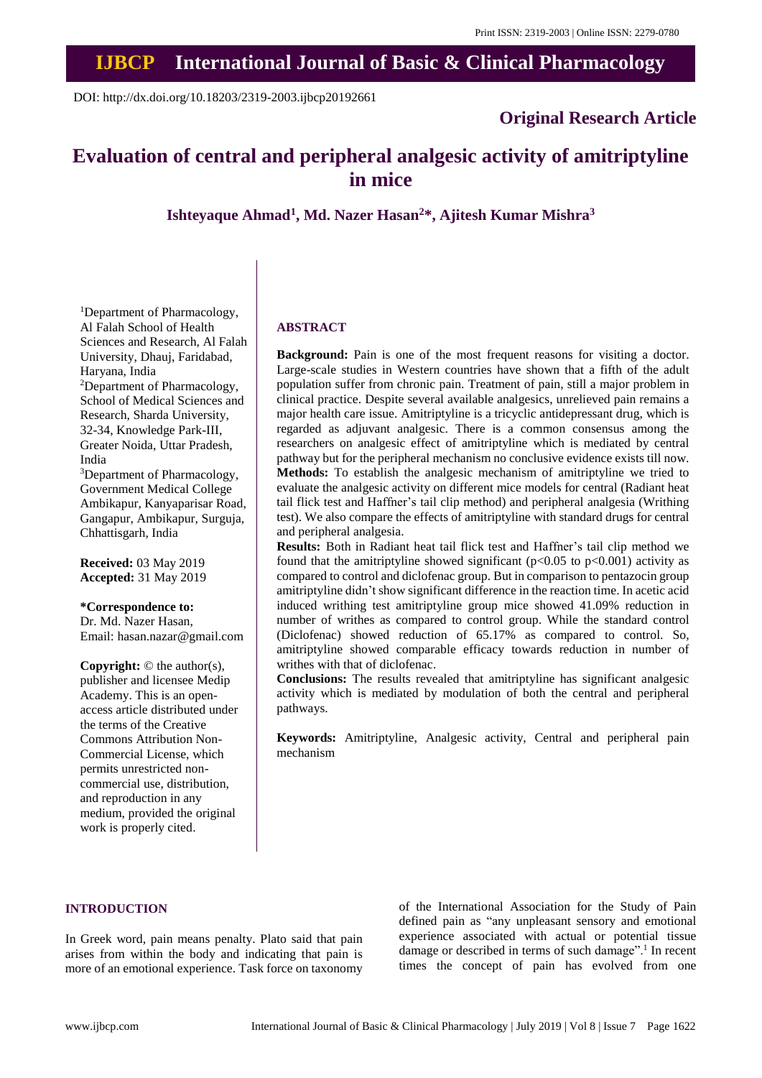# **IJBCP International Journal of Basic & Clinical Pharmacology**

DOI: http://dx.doi.org/10.18203/2319-2003.ijbcp20192661

# **Original Research Article**

# **Evaluation of central and peripheral analgesic activity of amitriptyline in mice**

**Ishteyaque Ahmad<sup>1</sup> , Md. Nazer Hasan<sup>2</sup>\*, Ajitesh Kumar Mishra<sup>3</sup>**

<sup>1</sup>Department of Pharmacology, Al Falah School of Health Sciences and Research, Al Falah University, Dhauj, Faridabad, Haryana, India <sup>2</sup>Department of Pharmacology, School of Medical Sciences and Research, Sharda University, 32-34, Knowledge Park-III, Greater Noida, Uttar Pradesh, India

<sup>3</sup>Department of Pharmacology, Government Medical College Ambikapur, Kanyaparisar Road, Gangapur, Ambikapur, Surguja, Chhattisgarh, India

**Received:** 03 May 2019 **Accepted:** 31 May 2019

#### **\*Correspondence to:**

Dr. Md. Nazer Hasan, Email: hasan.nazar@gmail.com

**Copyright:** © the author(s), publisher and licensee Medip Academy. This is an openaccess article distributed under the terms of the Creative Commons Attribution Non-Commercial License, which permits unrestricted noncommercial use, distribution, and reproduction in any medium, provided the original work is properly cited.

#### **ABSTRACT**

**Background:** Pain is one of the most frequent reasons for visiting a doctor. Large-scale studies in Western countries have shown that a fifth of the adult population suffer from chronic pain. Treatment of pain, still a major problem in clinical practice. Despite several available analgesics, unrelieved pain remains a major health care issue. Amitriptyline is a tricyclic antidepressant drug, which is regarded as adjuvant analgesic. There is a common consensus among the researchers on analgesic effect of amitriptyline which is mediated by central pathway but for the peripheral mechanism no conclusive evidence exists till now. **Methods:** To establish the analgesic mechanism of amitriptyline we tried to evaluate the analgesic activity on different mice models for central (Radiant heat tail flick test and Haffner's tail clip method) and peripheral analgesia (Writhing test). We also compare the effects of amitriptyline with standard drugs for central and peripheral analgesia.

**Results:** Both in Radiant heat tail flick test and Haffner's tail clip method we found that the amitriptyline showed significant ( $p<0.05$  to  $p<0.001$ ) activity as compared to control and diclofenac group. But in comparison to pentazocin group amitriptyline didn't show significant difference in the reaction time. In acetic acid induced writhing test amitriptyline group mice showed 41.09% reduction in number of writhes as compared to control group. While the standard control (Diclofenac) showed reduction of 65.17% as compared to control. So, amitriptyline showed comparable efficacy towards reduction in number of writhes with that of diclofenac.

**Conclusions:** The results revealed that amitriptyline has significant analgesic activity which is mediated by modulation of both the central and peripheral pathways.

**Keywords:** Amitriptyline, Analgesic activity, Central and peripheral pain mechanism

# **INTRODUCTION**

In Greek word, pain means penalty. Plato said that pain arises from within the body and indicating that pain is more of an emotional experience. Task force on taxonomy of the International Association for the Study of Pain defined pain as "any unpleasant sensory and emotional experience associated with actual or potential tissue damage or described in terms of such damage".<sup>1</sup> In recent times the concept of pain has evolved from one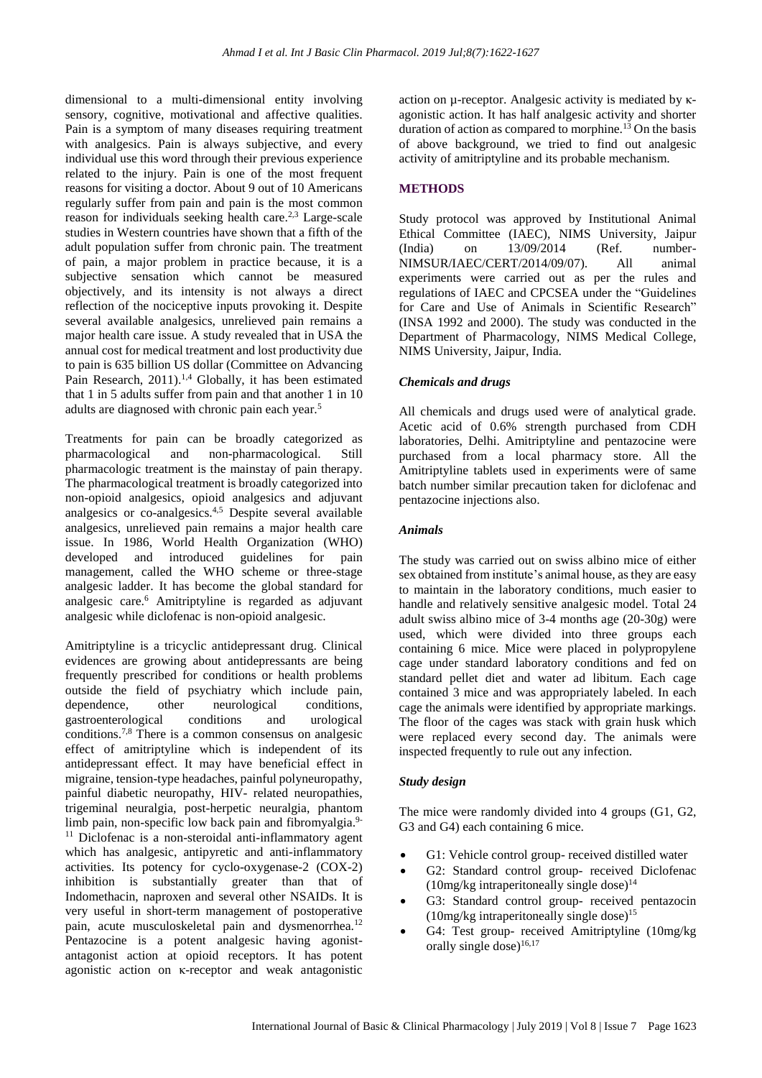dimensional to a multi-dimensional entity involving sensory, cognitive, motivational and affective qualities. Pain is a symptom of many diseases requiring treatment with analgesics. Pain is always subjective, and every individual use this word through their previous experience related to the injury. Pain is one of the most frequent reasons for visiting a doctor. About 9 out of 10 Americans regularly suffer from pain and pain is the most common reason for individuals seeking health care.2,3 Large-scale studies in Western countries have shown that a fifth of the adult population suffer from chronic pain. The treatment of pain, a major problem in practice because, it is a subjective sensation which cannot be measured objectively, and its intensity is not always a direct reflection of the nociceptive inputs provoking it. Despite several available analgesics, unrelieved pain remains a major health care issue. A study revealed that in USA the annual cost for medical treatment and lost productivity due to pain is 635 billion US dollar (Committee on Advancing Pain Research, 2011).<sup>1,4</sup> Globally, it has been estimated that 1 in 5 adults suffer from pain and that another 1 in 10 adults are diagnosed with chronic pain each year.<sup>5</sup>

Treatments for pain can be broadly categorized as pharmacological and non-pharmacological. Still pharmacologic treatment is the mainstay of pain therapy. The pharmacological treatment is broadly categorized into non-opioid analgesics, opioid analgesics and adjuvant analgesics or co-analgesics.4,5 Despite several available analgesics, unrelieved pain remains a major health care issue. In 1986, World Health Organization (WHO) developed and introduced guidelines for pain management, called the WHO scheme or three-stage analgesic ladder. It has become the global standard for analgesic care.<sup>6</sup> Amitriptyline is regarded as adjuvant analgesic while diclofenac is non-opioid analgesic.

Amitriptyline is a tricyclic antidepressant drug. Clinical evidences are growing about antidepressants are being frequently prescribed for conditions or health problems outside the field of psychiatry which include pain, dependence, other neurological conditions, gastroenterological conditions and urological conditions.7,8 There is a common consensus on analgesic effect of amitriptyline which is independent of its antidepressant effect. It may have beneficial effect in migraine, tension-type headaches, painful polyneuropathy, painful diabetic neuropathy, HIV- related neuropathies, trigeminal neuralgia, post-herpetic neuralgia, phantom limb pain, non-specific low back pain and fibromyalgia.<sup>9-</sup>  $11$  Diclofenac is a non-steroidal anti-inflammatory agent which has analgesic, antipyretic and anti-inflammatory activities. Its potency for cyclo-oxygenase-2 (COX-2) inhibition is substantially greater than that of Indomethacin, naproxen and several other NSAIDs. It is very useful in short-term management of postoperative pain, acute musculoskeletal pain and dysmenorrhea.<sup>12</sup> Pentazocine is a potent analgesic having agonistantagonist action at opioid receptors. It has potent agonistic action on κ-receptor and weak antagonistic

action on µ-receptor. Analgesic activity is mediated by κagonistic action. It has half analgesic activity and shorter duration of action as compared to morphine.<sup>13</sup> On the basis of above background, we tried to find out analgesic activity of amitriptyline and its probable mechanism.

# **METHODS**

Study protocol was approved by Institutional Animal Ethical Committee (IAEC), NIMS University, Jaipur<br>
(India) on 13/09/2014 (Ref. number- $(India)$  on  $13/09/2014$  (Ref. NIMSUR/IAEC/CERT/2014/09/07). All animal experiments were carried out as per the rules and regulations of IAEC and CPCSEA under the "Guidelines for Care and Use of Animals in Scientific Research" (INSA 1992 and 2000). The study was conducted in the Department of Pharmacology, NIMS Medical College, NIMS University, Jaipur, India.

# *Chemicals and drugs*

All chemicals and drugs used were of analytical grade. Acetic acid of 0.6% strength purchased from CDH laboratories, Delhi. Amitriptyline and pentazocine were purchased from a local pharmacy store. All the Amitriptyline tablets used in experiments were of same batch number similar precaution taken for diclofenac and pentazocine injections also.

# *Animals*

The study was carried out on swiss albino mice of either sex obtained from institute's animal house, asthey are easy to maintain in the laboratory conditions, much easier to handle and relatively sensitive analgesic model. Total 24 adult swiss albino mice of 3-4 months age (20-30g) were used, which were divided into three groups each containing 6 mice. Mice were placed in polypropylene cage under standard laboratory conditions and fed on standard pellet diet and water ad libitum. Each cage contained 3 mice and was appropriately labeled. In each cage the animals were identified by appropriate markings. The floor of the cages was stack with grain husk which were replaced every second day. The animals were inspected frequently to rule out any infection.

#### *Study design*

The mice were randomly divided into 4 groups (G1, G2, G3 and G4) each containing 6 mice.

- G1: Vehicle control group- received distilled water
- G2: Standard control group- received Diclofenac  $(10\text{mg/kg}$  intraperitoneally single dose)<sup>14</sup>
- G3: Standard control group- received pentazocin  $(10mg/kg$  intraperitoneally single dose)<sup>15</sup>
- G4: Test group- received Amitriptyline (10mg/kg orally single dose) $16,17$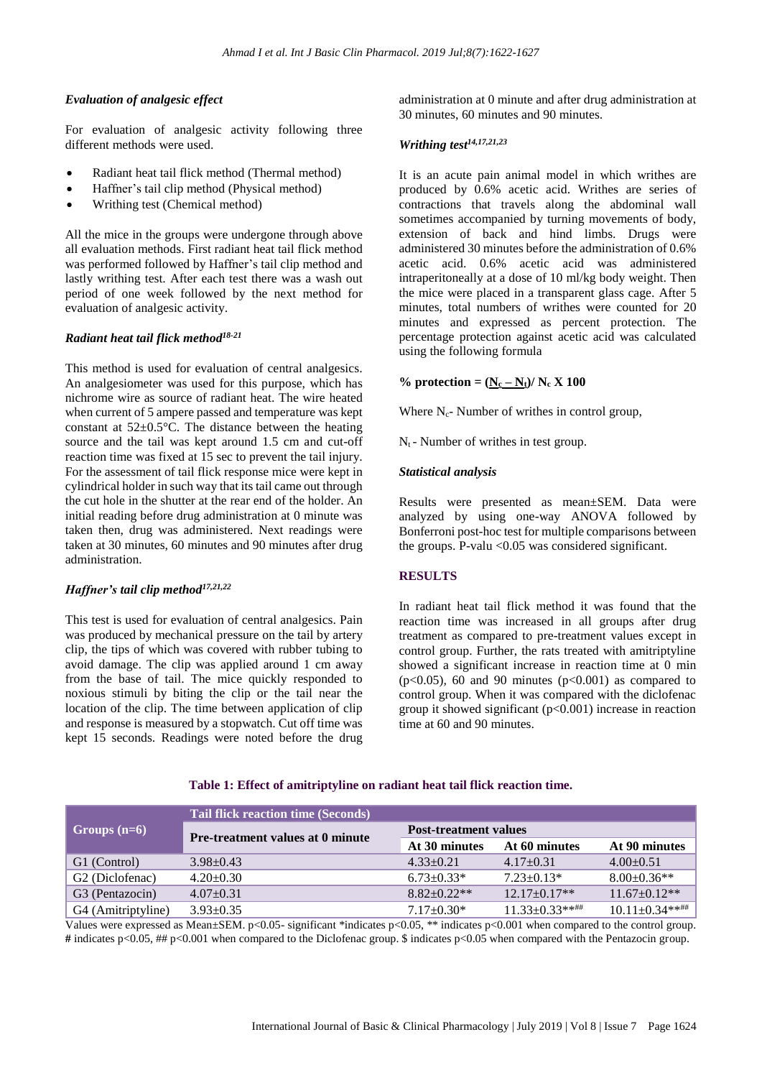# *Evaluation of analgesic effect*

For evaluation of analgesic activity following three different methods were used.

- Radiant heat tail flick method (Thermal method)
- Haffner's tail clip method (Physical method)
- Writhing test (Chemical method)

All the mice in the groups were undergone through above all evaluation methods. First radiant heat tail flick method was performed followed by Haffner's tail clip method and lastly writhing test. After each test there was a wash out period of one week followed by the next method for evaluation of analgesic activity.

#### *Radiant heat tail flick method 18-21*

This method is used for evaluation of central analgesics. An analgesiometer was used for this purpose, which has nichrome wire as source of radiant heat. The wire heated when current of 5 ampere passed and temperature was kept constant at  $52\pm0.5^{\circ}$ C. The distance between the heating source and the tail was kept around 1.5 cm and cut-off reaction time was fixed at 15 sec to prevent the tail injury. For the assessment of tail flick response mice were kept in cylindrical holder in such way that its tail came out through the cut hole in the shutter at the rear end of the holder. An initial reading before drug administration at 0 minute was taken then, drug was administered. Next readings were taken at 30 minutes, 60 minutes and 90 minutes after drug administration.

# *Haffner's tail clip method17,21,22*

This test is used for evaluation of central analgesics. Pain was produced by mechanical pressure on the tail by artery clip, the tips of which was covered with rubber tubing to avoid damage. The clip was applied around 1 cm away from the base of tail. The mice quickly responded to noxious stimuli by biting the clip or the tail near the location of the clip. The time between application of clip and response is measured by a stopwatch. Cut off time was kept 15 seconds. Readings were noted before the drug administration at 0 minute and after drug administration at 30 minutes, 60 minutes and 90 minutes.

# *Writhing test14,17,21,23*

It is an acute pain animal model in which writhes are produced by 0.6% acetic acid. Writhes are series of contractions that travels along the abdominal wall sometimes accompanied by turning movements of body, extension of back and hind limbs. Drugs were administered 30 minutes before the administration of 0.6% acetic acid. 0.6% acetic acid was administered intraperitoneally at a dose of 10 ml/kg body weight. Then the mice were placed in a transparent glass cage. After 5 minutes, total numbers of writhes were counted for 20 minutes and expressed as percent protection. The percentage protection against acetic acid was calculated using the following formula

#### % protection =  $(N_c - N_t)/N_c X 100$

Where  $N_c$ - Number of writhes in control group,

 $N_t$  - Number of writhes in test group.

#### *Statistical analysis*

Results were presented as mean±SEM. Data were analyzed by using one-way ANOVA followed by Bonferroni post-hoc test for multiple comparisons between the groups. P-valu  $< 0.05$  was considered significant.

### **RESULTS**

In radiant heat tail flick method it was found that the reaction time was increased in all groups after drug treatment as compared to pre-treatment values except in control group. Further, the rats treated with amitriptyline showed a significant increase in reaction time at 0 min  $(p<0.05)$ , 60 and 90 minutes  $(p<0.001)$  as compared to control group. When it was compared with the diclofenac group it showed significant  $(p<0.001)$  increase in reaction time at 60 and 90 minutes.

|                             | <b>Tail flick reaction time (Seconds)</b> |                              |                   |                        |
|-----------------------------|-------------------------------------------|------------------------------|-------------------|------------------------|
| Groups $(n=6)$              | <b>Pre-treatment values at 0 minute</b>   | <b>Post-treatment values</b> |                   |                        |
|                             |                                           | At 30 minutes                | At 60 minutes     | At 90 minutes          |
| G1 (Control)                | $3.98 + 0.43$                             | $4.33 + 0.21$                | $4.17+0.31$       | $4.00+0.51$            |
| G <sub>2</sub> (Diclofenac) | $4.20 \pm 0.30$                           | $6.73 \pm 0.33*$             | $7.23 \pm 0.13*$  | $8.00 \pm 0.36**$      |
| G3 (Pentazocin)             | $4.07 \pm 0.31$                           | $8.82 + 0.22**$              | $12.17+0.17**$    | $11.67 \pm 0.12**$     |
| G4 (Amitriptyline)          | $3.93 \pm 0.35$                           | $7.17 + 0.30*$               | $11.33 + 0.33***$ | $10.11 \pm 0.34***$ ## |

**Table 1: Effect of amitriptyline on radiant heat tail flick reaction time.**

Values were expressed as Mean±SEM. p<0.05- significant \*indicates p<0.05, \*\* indicates p<0.001 when compared to the control group. **#** indicates p<0.05, ## p<0.001 when compared to the Diclofenac group. \$ indicates p<0.05 when compared with the Pentazocin group.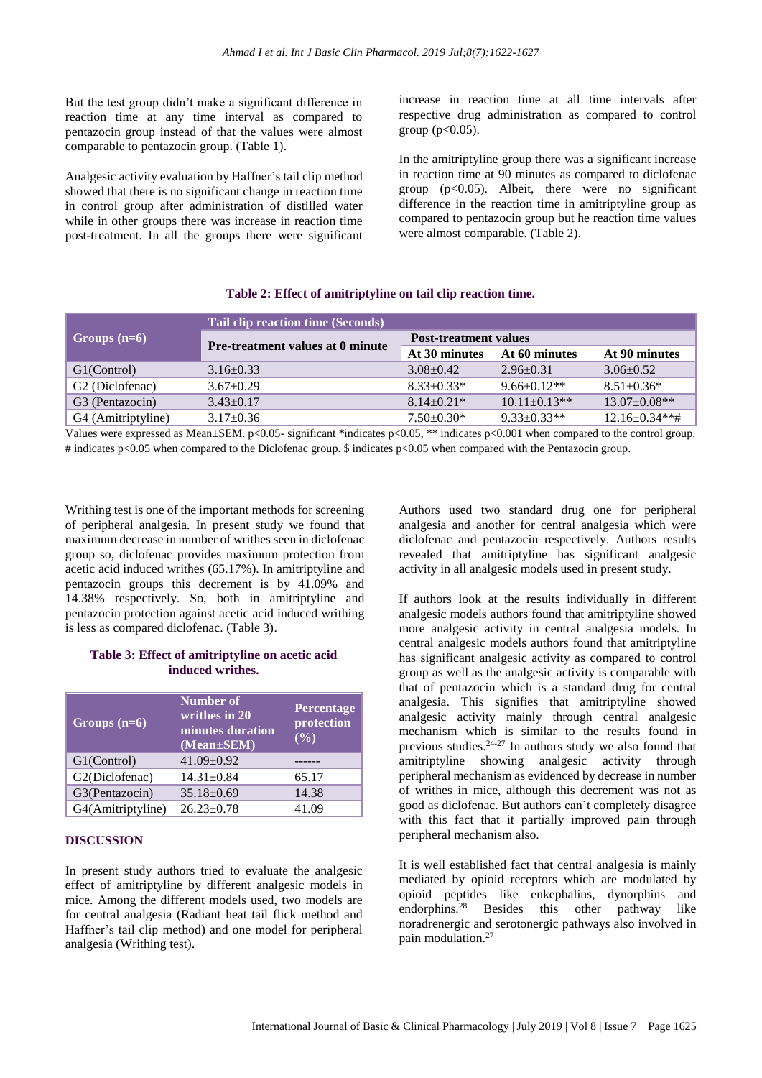But the test group didn't make a significant difference in reaction time at any time interval as compared to pentazocin group instead of that the values were almost comparable to pentazocin group. (Table 1).

Analgesic activity evaluation by Haffner's tail clip method showed that there is no significant change in reaction time in control group after administration of distilled water while in other groups there was increase in reaction time post-treatment. In all the groups there were significant increase in reaction time at all time intervals after respective drug administration as compared to control group ( $p<0.05$ ).

In the amitriptyline group there was a significant increase in reaction time at 90 minutes as compared to diclofenac group  $(p<0.05)$ . Albeit, there were no significant difference in the reaction time in amitriptyline group as compared to pentazocin group but he reaction time values were almost comparable. (Table 2).

#### **Table 2: Effect of amitriptyline on tail clip reaction time.**

|                             | Tail clip reaction time (Seconds)       |                              |                    |                      |  |
|-----------------------------|-----------------------------------------|------------------------------|--------------------|----------------------|--|
| Groups $(n=6)$              | <b>Pre-treatment values at 0 minute</b> | <b>Post-treatment values</b> |                    |                      |  |
|                             |                                         | At 30 minutes                | At 60 minutes      | At 90 minutes        |  |
| G1(Control)                 | $3.16 + 0.33$                           | $3.08 + 0.42$                | $2.96 \pm 0.31$    | $3.06 + 0.52$        |  |
| G <sub>2</sub> (Diclofenac) | $3.67 \pm 0.29$                         | $8.33 \pm 0.33*$             | $9.66 \pm 0.12**$  | $8.51 \pm 0.36*$     |  |
| G <sub>3</sub> (Pentazocin) | $3.43 \pm 0.17$                         | $8.14 \pm 0.21$ *            | $10.11 \pm 0.13**$ | $13.07 \pm 0.08**$   |  |
| G4 (Amitriptyline)          | $3.17 \pm 0.36$                         | $7.50\pm0.30*$               | $9.33 \pm 0.33**$  | $12.16 \pm 0.34$ **# |  |

Values were expressed as Mean±SEM. p<0.05- significant \*indicates p<0.05, \*\* indicates p<0.001 when compared to the control group. # indicates p<0.05 when compared to the Diclofenac group. \$ indicates p<0.05 when compared with the Pentazocin group.

Writhing test is one of the important methods for screening of peripheral analgesia. In present study we found that maximum decrease in number of writhes seen in diclofenac group so, diclofenac provides maximum protection from acetic acid induced writhes (65.17%). In amitriptyline and pentazocin groups this decrement is by 41.09% and 14.38% respectively. So, both in amitriptyline and pentazocin protection against acetic acid induced writhing is less as compared diclofenac. (Table 3).

# **Table 3: Effect of amitriptyline on acetic acid induced writhes.**

| Groups $(n=6)$    | Number of<br>$\overline{\text{writhes in}}$ 20<br>minutes duration<br>(Mean±SEM) | Percentage<br>protection<br>(0/0) |
|-------------------|----------------------------------------------------------------------------------|-----------------------------------|
| G1(Control)       | $41.09 \pm 0.92$                                                                 |                                   |
| G2(Diclofenac)    | $14.31 \pm 0.84$                                                                 | 65.17                             |
| G3(Pentazocin)    | $35.18 \pm 0.69$                                                                 | 14.38                             |
| G4(Amitriptyline) | $26.23 \pm 0.78$                                                                 | 41.09                             |

#### **DISCUSSION**

In present study authors tried to evaluate the analgesic effect of amitriptyline by different analgesic models in mice. Among the different models used, two models are for central analgesia (Radiant heat tail flick method and Haffner's tail clip method) and one model for peripheral analgesia (Writhing test).

Authors used two standard drug one for peripheral analgesia and another for central analgesia which were diclofenac and pentazocin respectively. Authors results revealed that amitriptyline has significant analgesic activity in all analgesic models used in present study.

If authors look at the results individually in different analgesic models authors found that amitriptyline showed more analgesic activity in central analgesia models. In central analgesic models authors found that amitriptyline has significant analgesic activity as compared to control group as well as the analgesic activity is comparable with that of pentazocin which is a standard drug for central analgesia. This signifies that amitriptyline showed analgesic activity mainly through central analgesic mechanism which is similar to the results found in previous studies.24-27 In authors study we also found that amitriptyline showing analgesic activity through peripheral mechanism as evidenced by decrease in number of writhes in mice, although this decrement was not as good as diclofenac. But authors can't completely disagree with this fact that it partially improved pain through peripheral mechanism also.

It is well established fact that central analgesia is mainly mediated by opioid receptors which are modulated by opioid peptides like enkephalins, dynorphins and endorphins.<sup>28</sup> Besides this other pathway like noradrenergic and serotonergic pathways also involved in pain modulation.<sup>27</sup>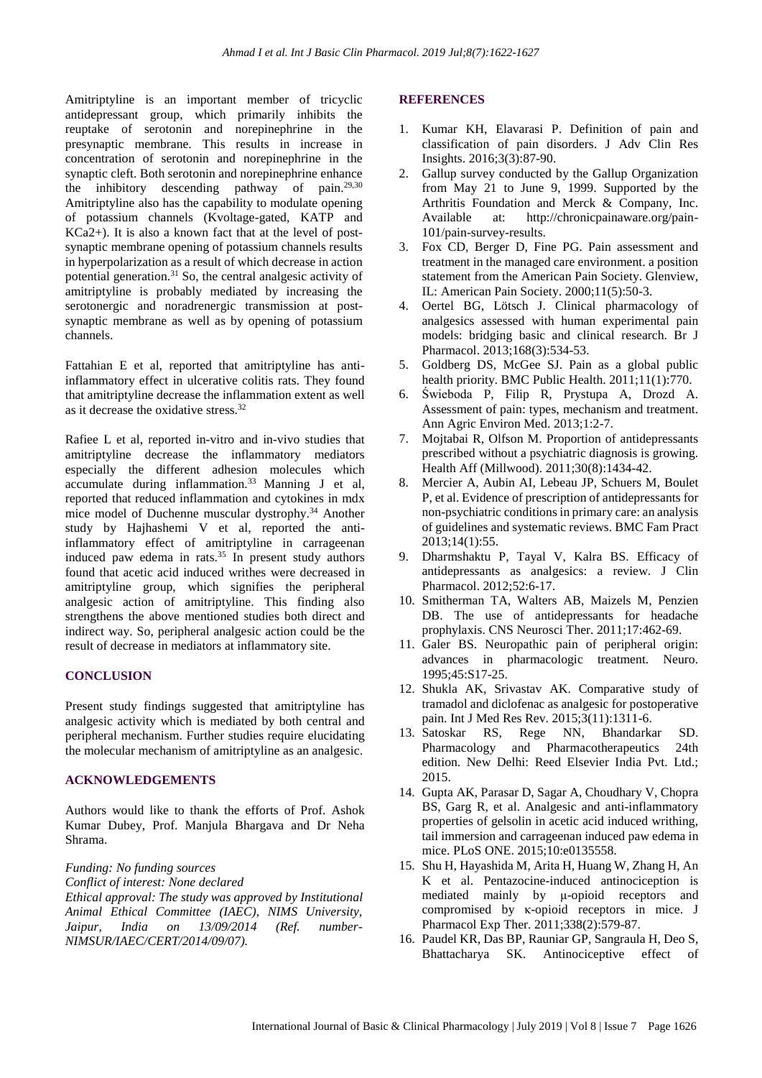Amitriptyline is an important member of tricyclic antidepressant group, which primarily inhibits the reuptake of serotonin and norepinephrine in the presynaptic membrane. This results in increase in concentration of serotonin and norepinephrine in the synaptic cleft. Both serotonin and norepinephrine enhance the inhibitory descending pathway of pain.29,30 Amitriptyline also has the capability to modulate opening of potassium channels (Kvoltage-gated, KATP and KCa2+). It is also a known fact that at the level of postsynaptic membrane opening of potassium channels results in hyperpolarization as a result of which decrease in action potential generation.<sup>31</sup> So, the central analgesic activity of amitriptyline is probably mediated by increasing the serotonergic and noradrenergic transmission at postsynaptic membrane as well as by opening of potassium channels.

Fattahian E et al, reported that amitriptyline has antiinflammatory effect in ulcerative colitis rats. They found that amitriptyline decrease the inflammation extent as well as it decrease the oxidative stress.<sup>32</sup>

Rafiee L et al, reported in-vitro and in-vivo studies that amitriptyline decrease the inflammatory mediators especially the different adhesion molecules which accumulate during inflammation.<sup>33</sup> Manning J et al, reported that reduced inflammation and cytokines in mdx mice model of Duchenne muscular dystrophy.<sup>34</sup> Another study by Hajhashemi V et al, reported the antiinflammatory effect of amitriptyline in carrageenan induced paw edema in rats. $35$  In present study authors found that acetic acid induced writhes were decreased in amitriptyline group, which signifies the peripheral analgesic action of amitriptyline. This finding also strengthens the above mentioned studies both direct and indirect way. So, peripheral analgesic action could be the result of decrease in mediators at inflammatory site.

#### **CONCLUSION**

Present study findings suggested that amitriptyline has analgesic activity which is mediated by both central and peripheral mechanism. Further studies require elucidating the molecular mechanism of amitriptyline as an analgesic.

# **ACKNOWLEDGEMENTS**

Authors would like to thank the efforts of Prof. Ashok Kumar Dubey, Prof. Manjula Bhargava and Dr Neha Shrama.

# *Funding: No funding sources*

*Conflict of interest: None declared*

*Ethical approval: The study was approved by Institutional Animal Ethical Committee (IAEC), NIMS University, Jaipur, India on 13/09/2014 (Ref. number-NIMSUR/IAEC/CERT/2014/09/07).*

#### **REFERENCES**

- 1. Kumar KH, Elavarasi P. Definition of pain and classification of pain disorders. J Adv Clin Res Insights. 2016;3(3):87-90.
- 2. Gallup survey conducted by the Gallup Organization from May 21 to June 9, 1999. Supported by the Arthritis Foundation and Merck & Company, Inc. Available at: http://chronicpainaware.org/pain-101/pain-survey-results.
- 3. Fox CD, Berger D, Fine PG. Pain assessment and treatment in the managed care environment. a position statement from the American Pain Society. Glenview, IL: American Pain Society. 2000;11(5):50-3.
- 4. Oertel BG, Lötsch J. Clinical pharmacology of analgesics assessed with human experimental pain models: bridging basic and clinical research. Br J Pharmacol. 2013;168(3):534-53.
- 5. Goldberg DS, McGee SJ. Pain as a global public health priority. BMC Public Health. 2011;11(1):770.
- 6. Świeboda P, Filip R, Prystupa A, Drozd A. Assessment of pain: types, mechanism and treatment. Ann Agric Environ Med. 2013;1:2-7.
- 7. Mojtabai R, Olfson M. Proportion of antidepressants prescribed without a psychiatric diagnosis is growing. Health Aff (Millwood). 2011;30(8):1434-42.
- 8. Mercier A, Aubin AI, Lebeau JP, Schuers M, Boulet P, et al. Evidence of prescription of antidepressants for non-psychiatric conditionsin primary care: an analysis of guidelines and systematic reviews. BMC Fam Pract 2013;14(1):55.
- 9. Dharmshaktu P, Tayal V, Kalra BS. Efficacy of antidepressants as analgesics: a review. J Clin Pharmacol. 2012;52:6-17.
- 10. Smitherman TA, Walters AB, Maizels M, Penzien DB. The use of antidepressants for headache prophylaxis. CNS Neurosci Ther. 2011;17:462-69.
- 11. Galer BS. Neuropathic pain of peripheral origin: advances in pharmacologic treatment. Neuro. 1995;45:S17-25.
- 12. Shukla AK, Srivastav AK. Comparative study of tramadol and diclofenac as analgesic for postoperative pain. Int J Med Res Rev. 2015;3(11):1311-6.
- 13. Satoskar RS, Rege NN, Bhandarkar SD. Pharmacology and Pharmacotherapeutics 24th edition. New Delhi: Reed Elsevier India Pvt. Ltd.; 2015.
- 14. Gupta AK, Parasar D, Sagar A, Choudhary V, Chopra BS, Garg R, et al. Analgesic and anti-inflammatory properties of gelsolin in acetic acid induced writhing, tail immersion and carrageenan induced paw edema in mice. PLoS ONE. 2015;10:e0135558.
- 15. Shu H, Hayashida M, Arita H, Huang W, Zhang H, An K et al. Pentazocine-induced antinociception is mediated mainly by μ-opioid receptors and compromised by κ-opioid receptors in mice. J Pharmacol Exp Ther. 2011;338(2):579-87.
- 16. Paudel KR, Das BP, Rauniar GP, Sangraula H, Deo S, Bhattacharya SK. Antinociceptive effect of